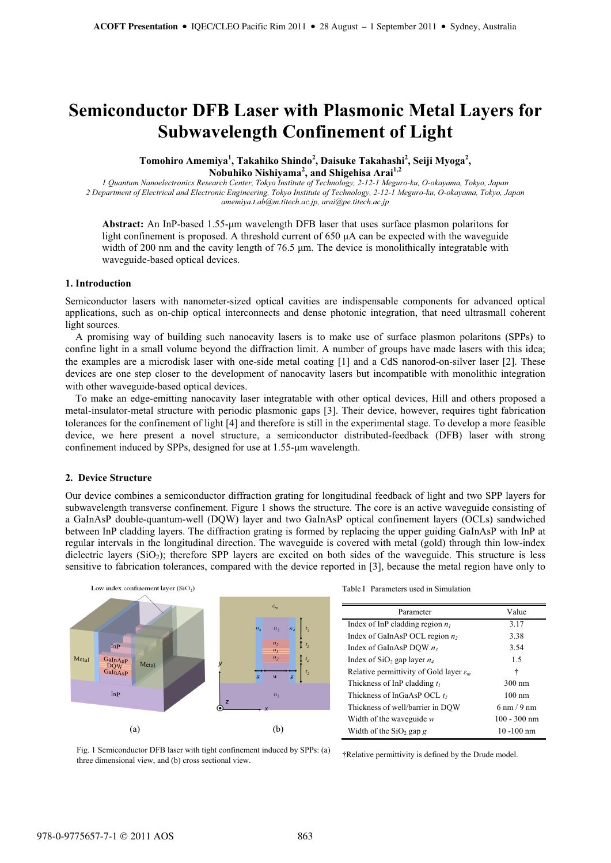# **Semiconductor DFB Laser with Plasmonic Metal Layers for Subwavelength Confinement of Light**

**Tomohiro Amemiya<sup>1</sup> , Takahiko Shindo<sup>2</sup> , Daisuke Takahashi<sup>2</sup> , Seiji Myoga<sup>2</sup> , Nobuhiko Nishiyama<sup>2</sup> , and Shigehisa Arai1,2**

*1 Quantum Nanoelectronics Research Center, Tokyo Institute of Technology, 2-12-1 Meguro-ku, O-okayama, Tokyo, Japan 2 Department of Electrical and Electronic Engineering, Tokyo Institute of Technology, 2-12-1 Meguro-ku, O-okayama, Tokyo, Japan amemiya.t.ab@m.titech.ac.jp, arai@pe.titech.ac.jp* 

Abstract: An InP-based 1.55-µm wavelength DFB laser that uses surface plasmon polaritons for light confinement is proposed. A threshold current of  $650 \mu A$  can be expected with the waveguide width of 200 nm and the cavity length of  $76.5 \mu$ m. The device is monolithically integratable with waveguide-based optical devices.

## **1. Introduction**

Semiconductor lasers with nanometer-sized optical cavities are indispensable components for advanced optical applications, such as on-chip optical interconnects and dense photonic integration, that need ultrasmall coherent light sources.

A promising way of building such nanocavity lasers is to make use of surface plasmon polaritons (SPPs) to confine light in a small volume beyond the diffraction limit. A number of groups have made lasers with this idea; the examples are a microdisk laser with one-side metal coating [1] and a CdS nanorod-on-silver laser [2]. These devices are one step closer to the development of nanocavity lasers but incompatible with monolithic integration with other waveguide-based optical devices.

To make an edge-emitting nanocavity laser integratable with other optical devices, Hill and others proposed a metal-insulator-metal structure with periodic plasmonic gaps [3]. Their device, however, requires tight fabrication tolerances for the confinement of light [4] and therefore is still in the experimental stage. To develop a more feasible device, we here present a novel structure, a semiconductor distributed-feedback (DFB) laser with strong confinement induced by SPPs, designed for use at 1.55-µm wavelength.

# **2. Device Structure**

Our device combines a semiconductor diffraction grating for longitudinal feedback of light and two SPP layers for subwavelength transverse confinement. Figure 1 shows the structure. The core is an active waveguide consisting of a GaInAsP double-quantum-well (DQW) layer and two GaInAsP optical confinement layers (OCLs) sandwiched between InP cladding layers. The diffraction grating is formed by replacing the upper guiding GaInAsP with InP at regular intervals in the longitudinal direction. The waveguide is covered with metal (gold) through thin low-index dielectric layers ( $SiO<sub>2</sub>$ ); therefore SPP layers are excited on both sides of the waveguide. This structure is less sensitive to fabrication tolerances, compared with the device reported in [3], because the metal region have only to



Table I Parameters used in Simulation

| Parameter                                           | Value                         |
|-----------------------------------------------------|-------------------------------|
| Index of InP cladding region $n_l$                  | 3.17                          |
| Index of GaInAsP OCL region $n_2$                   | 3.38                          |
| Index of GaInAsP DQW $n_3$                          | 3.54                          |
| Index of $SiO_2$ gap layer $n_4$                    | 1.5                           |
| Relative permittivity of Gold layer $\varepsilon_m$ | ÷                             |
| Thickness of InP cladding $t_1$                     | $300 \text{ nm}$              |
| Thickness of InGaAsP OCL $t_2$                      | $100 \text{ nm}$              |
| Thickness of well/barrier in DOW                    | $6 \text{ nm} / 9 \text{ nm}$ |
| Width of the waveguide $w$                          | $100 - 300$ nm                |
| Width of the $SiO2$ gap g                           | $10 - 100$ nm                 |

Fig. 1 Semiconductor DFB laser with tight confinement induced by SPPs: (a) three dimensional view, and (b) cross sectional view.

†Relative permittivity is defined by the Drude model.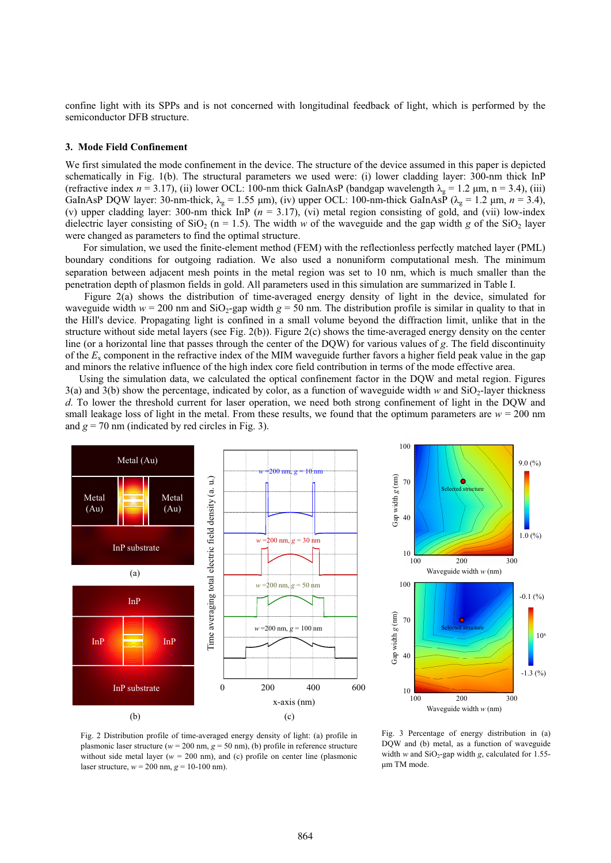confine light with its SPPs and is not concerned with longitudinal feedback of light, which is performed by the semiconductor DFB structure.

## **3. Mode Field Confinement**

We first simulated the mode confinement in the device. The structure of the device assumed in this paper is depicted schematically in Fig. 1(b). The structural parameters we used were: (i) lower cladding layer: 300-nm thick InP (refractive index  $n = 3.17$ ), (ii) lower OCL: 100-nm thick GaInAsP (bandgap wavelength  $\lambda_g = 1.2$  µm, n = 3.4), (iii) GaInAsP DQW layer: 30-nm-thick,  $\lambda_g = 1.55 \text{ µm}$ , (iv) upper OCL: 100-nm-thick GaInAsP ( $\lambda_g = 1.2 \text{ µm}$ ,  $n = 3.4$ ), (v) upper cladding layer: 300-nm thick InP ( $n = 3.17$ ), (vi) metal region consisting of gold, and (vii) low-index dielectric layer consisting of SiO<sub>2</sub> (n = 1.5). The width *w* of the waveguide and the gap width *g* of the SiO<sub>2</sub> layer were changed as parameters to find the optimal structure.

 For simulation, we used the finite-element method (FEM) with the reflectionless perfectly matched layer (PML) boundary conditions for outgoing radiation. We also used a nonuniform computational mesh. The minimum separation between adjacent mesh points in the metal region was set to 10 nm, which is much smaller than the penetration depth of plasmon fields in gold. All parameters used in this simulation are summarized in Table I.

 Figure 2(a) shows the distribution of time-averaged energy density of light in the device, simulated for waveguide width  $w = 200$  nm and SiO<sub>2</sub>-gap width  $g = 50$  nm. The distribution profile is similar in quality to that in the Hill's device. Propagating light is confined in a small volume beyond the diffraction limit, unlike that in the structure without side metal layers (see Fig. 2(b)). Figure 2(c) shows the time-averaged energy density on the center line (or a horizontal line that passes through the center of the DQW) for various values of *g*. The field discontinuity of the *E*x component in the refractive index of the MIM waveguide further favors a higher field peak value in the gap and minors the relative influence of the high index core field contribution in terms of the mode effective area.

Using the simulation data, we calculated the optical confinement factor in the DQW and metal region. Figures  $3(a)$  and  $3(b)$  show the percentage, indicated by color, as a function of waveguide width *w* and  $SiO<sub>2</sub>$ -layer thickness *d*. To lower the threshold current for laser operation, we need both strong confinement of light in the DQW and small leakage loss of light in the metal. From these results, we found that the optimum parameters are  $w = 200$  nm and  $g = 70$  nm (indicated by red circles in Fig. 3).





Fig. 2 Distribution profile of time-averaged energy density of light: (a) profile in plasmonic laser structure ( $w = 200$  nm,  $g = 50$  nm), (b) profile in reference structure without side metal layer ( $w = 200$  nm), and (c) profile on center line (plasmonic laser structure, *w* = 200 nm, *g* = 10-100 nm).

Fig. 3 Percentage of energy distribution in (a) DQW and (b) metal, as a function of waveguide width *w* and  $SiO_2$ -gap width *g*, calculated for 1.55μm TM mode.